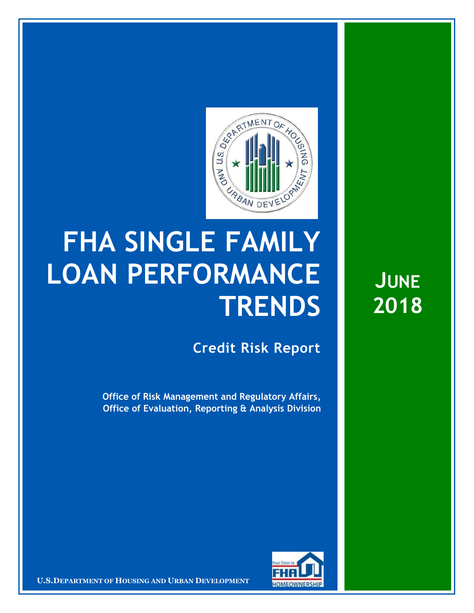

## **FHA SINGLE FAMILY LOAN PERFORMANCE TRENDS**

**Credit Risk Report**

**Office of Risk Management and Regulatory Affairs, Office of Evaluation, Reporting & Analysis Division**



**U.S.DEPARTMENT OF HOUSING AND URBAN DEVELOPMENT** 

**JUNE 2018**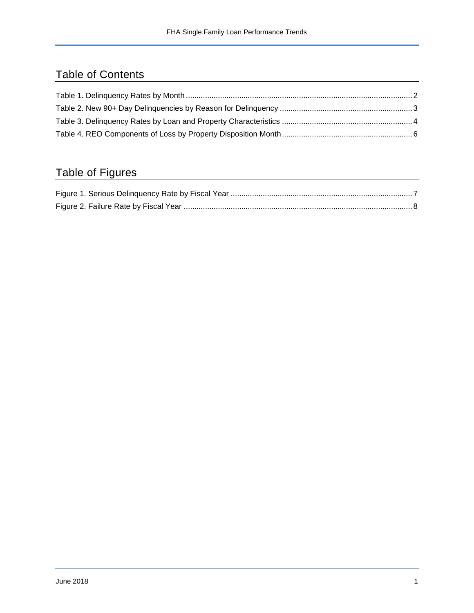## Table of Contents

## Table of Figures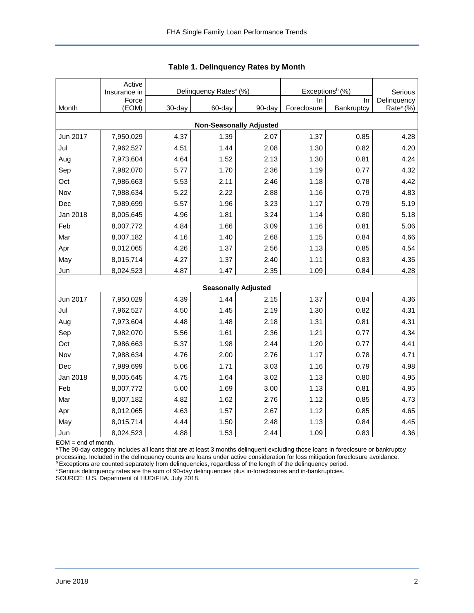<span id="page-2-0"></span>

|          | Active<br>Insurance in |        | Delinquency Rates <sup>a</sup> (%) |                                | Exceptions <sup>b</sup> (%) | Serious    |                       |
|----------|------------------------|--------|------------------------------------|--------------------------------|-----------------------------|------------|-----------------------|
|          | Force                  |        |                                    |                                | In                          | In         | Delinquency           |
| Month    | (EOM)                  | 30-day | 60-day                             | 90-day                         | Foreclosure                 | Bankruptcy | Rate <sup>c</sup> (%) |
|          |                        |        |                                    | <b>Non-Seasonally Adjusted</b> |                             |            |                       |
| Jun 2017 | 7,950,029              | 4.37   | 1.39                               | 2.07                           | 1.37                        | 0.85       | 4.28                  |
| Jul      | 7,962,527              | 4.51   | 1.44                               | 2.08                           | 1.30                        | 0.82       | 4.20                  |
| Aug      | 7,973,604              | 4.64   | 1.52                               | 2.13                           | 1.30                        | 0.81       | 4.24                  |
| Sep      | 7,982,070              | 5.77   | 1.70                               | 2.36                           | 1.19                        | 0.77       | 4.32                  |
| Oct      | 7,986,663              | 5.53   | 2.11                               | 2.46                           | 1.18                        | 0.78       | 4.42                  |
| Nov      | 7,988,634              | 5.22   | 2.22                               | 2.88                           | 1.16                        | 0.79       | 4.83                  |
| Dec      | 7,989,699              | 5.57   | 1.96                               | 3.23                           | 1.17                        | 0.79       | 5.19                  |
| Jan 2018 | 8,005,645              | 4.96   | 1.81                               | 3.24                           | 1.14                        | 0.80       | 5.18                  |
| Feb      | 8,007,772              | 4.84   | 1.66                               | 3.09                           | 1.16                        | 0.81       | 5.06                  |
| Mar      | 8,007,182              | 4.16   | 1.40                               | 2.68                           | 1.15                        | 0.84       | 4.66                  |
| Apr      | 8,012,065              | 4.26   | 1.37                               | 2.56                           | 1.13                        | 0.85       | 4.54                  |
| May      | 8,015,714              | 4.27   | 1.37                               | 2.40                           | 1.11                        | 0.83       | 4.35                  |
| Jun      | 8,024,523              | 4.87   | 1.47                               | 2.35                           | 1.09                        | 0.84       | 4.28                  |
|          |                        |        |                                    | <b>Seasonally Adjusted</b>     |                             |            |                       |
| Jun 2017 | 7,950,029              | 4.39   | 1.44                               | 2.15                           | 1.37                        | 0.84       | 4.36                  |
| Jul      | 7,962,527              | 4.50   | 1.45                               | 2.19                           | 1.30                        | 0.82       | 4.31                  |
| Aug      | 7,973,604              | 4.48   | 1.48                               | 2.18                           | 1.31                        | 0.81       | 4.31                  |
| Sep      | 7,982,070              | 5.56   | 1.61                               | 2.36                           | 1.21                        | 0.77       | 4.34                  |
| Oct      | 7,986,663              | 5.37   | 1.98                               | 2.44                           | 1.20                        | 0.77       | 4.41                  |
| Nov      | 7,988,634              | 4.76   | 2.00                               | 2.76                           | 1.17                        | 0.78       | 4.71                  |
| Dec      | 7,989,699              | 5.06   | 1.71                               | 3.03                           | 1.16                        | 0.79       | 4.98                  |
| Jan 2018 | 8,005,645              | 4.75   | 1.64                               | 3.02                           | 1.13                        | 0.80       | 4.95                  |
| Feb      | 8,007,772              | 5.00   | 1.69                               | 3.00                           | 1.13                        | 0.81       | 4.95                  |
| Mar      | 8,007,182              | 4.82   | 1.62                               | 2.76                           | 1.12                        | 0.85       | 4.73                  |
| Apr      | 8,012,065              | 4.63   | 1.57                               | 2.67                           | 1.12                        | 0.85       | 4.65                  |
| May      | 8,015,714              | 4.44   | 1.50                               | 2.48                           | 1.13                        | 0.84       | 4.45                  |
| Jun      | 8,024,523              | 4.88   | 1.53                               | 2.44                           | 1.09                        | 0.83       | 4.36                  |

|  | Table 1. Delinquency Rates by Month |  |  |
|--|-------------------------------------|--|--|
|--|-------------------------------------|--|--|

EOM = end of month.

<sup>a</sup>The 90-day category includes all loans that are at least 3 months delinquent excluding those loans in foreclosure or bankruptcy processing. Included in the delinquency counts are loans under active consideration for loss mitigation foreclosure avoidance.

**bExceptions are counted separately from delinquencies, regardless of the length of the delinquency period.** 

<sup>c</sup> Serious delinquency rates are the sum of 90-day delinquencies plus in-foreclosures and in-bankruptcies.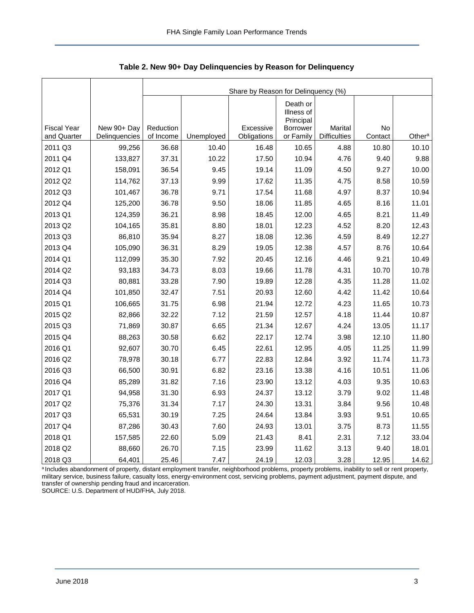<span id="page-3-0"></span>

|                                   |                              | Share by Reason for Delinquency (%) |            |                          |                                     |                                |               |                    |  |  |  |
|-----------------------------------|------------------------------|-------------------------------------|------------|--------------------------|-------------------------------------|--------------------------------|---------------|--------------------|--|--|--|
|                                   |                              |                                     |            |                          | Death or<br>Illness of<br>Principal |                                |               |                    |  |  |  |
| <b>Fiscal Year</b><br>and Quarter | New 90+ Day<br>Delinguencies | Reduction<br>of Income              | Unemployed | Excessive<br>Obligations | <b>Borrower</b><br>or Family        | Marital<br><b>Difficulties</b> | No<br>Contact | Other <sup>a</sup> |  |  |  |
| 2011 Q3                           | 99,256                       | 36.68                               | 10.40      | 16.48                    | 10.65                               | 4.88                           | 10.80         | 10.10              |  |  |  |
| 2011 Q4                           | 133,827                      | 37.31                               | 10.22      | 17.50                    | 10.94                               | 4.76                           | 9.40          | 9.88               |  |  |  |
| 2012 Q1                           | 158,091                      | 36.54                               | 9.45       | 19.14                    | 11.09                               | 4.50                           | 9.27          | 10.00              |  |  |  |
| 2012 Q2                           | 114,762                      | 37.13                               | 9.99       | 17.62                    | 11.35                               | 4.75                           | 8.58          | 10.59              |  |  |  |
| 2012 Q3                           | 101,467                      | 36.78                               | 9.71       | 17.54                    | 11.68                               | 4.97                           | 8.37          | 10.94              |  |  |  |
| 2012 Q4                           | 125,200                      | 36.78                               | 9.50       | 18.06                    | 11.85                               | 4.65                           | 8.16          | 11.01              |  |  |  |
| 2013 Q1                           | 124,359                      | 36.21                               | 8.98       | 18.45                    | 12.00                               | 4.65                           | 8.21          | 11.49              |  |  |  |
| 2013 Q2                           | 104,165                      | 35.81                               | 8.80       | 18.01                    | 12.23                               | 4.52                           | 8.20          | 12.43              |  |  |  |
| 2013 Q3                           | 86,810                       | 35.94                               | 8.27       | 18.08                    | 12.36                               | 4.59                           | 8.49          | 12.27              |  |  |  |
| 2013 Q4                           | 105,090                      | 36.31                               | 8.29       | 19.05                    | 12.38                               | 4.57                           | 8.76          | 10.64              |  |  |  |
| 2014 Q1                           | 112,099                      | 35.30                               | 7.92       | 20.45                    | 12.16                               | 4.46                           | 9.21          | 10.49              |  |  |  |
| 2014 Q2                           | 93,183                       | 34.73                               | 8.03       | 19.66                    | 11.78                               | 4.31                           | 10.70         | 10.78              |  |  |  |
| 2014 Q3                           | 80,881                       | 33.28                               | 7.90       | 19.89                    | 12.28                               | 4.35                           | 11.28         | 11.02              |  |  |  |
| 2014 Q4                           | 101,850                      | 32.47                               | 7.51       | 20.93                    | 12.60                               | 4.42                           | 11.42         | 10.64              |  |  |  |
| 2015 Q1                           | 106,665                      | 31.75                               | 6.98       | 21.94                    | 12.72                               | 4.23                           | 11.65         | 10.73              |  |  |  |
| 2015 Q2                           | 82,866                       | 32.22                               | 7.12       | 21.59                    | 12.57                               | 4.18                           | 11.44         | 10.87              |  |  |  |
| 2015 Q3                           | 71,869                       | 30.87                               | 6.65       | 21.34                    | 12.67                               | 4.24                           | 13.05         | 11.17              |  |  |  |
| 2015 Q4                           | 88,263                       | 30.58                               | 6.62       | 22.17                    | 12.74                               | 3.98                           | 12.10         | 11.80              |  |  |  |
| 2016 Q1                           | 92,607                       | 30.70                               | 6.45       | 22.61                    | 12.95                               | 4.05                           | 11.25         | 11.99              |  |  |  |
| 2016 Q2                           | 78,978                       | 30.18                               | 6.77       | 22.83                    | 12.84                               | 3.92                           | 11.74         | 11.73              |  |  |  |
| 2016 Q3                           | 66,500                       | 30.91                               | 6.82       | 23.16                    | 13.38                               | 4.16                           | 10.51         | 11.06              |  |  |  |
| 2016 Q4                           | 85,289                       | 31.82                               | 7.16       | 23.90                    | 13.12                               | 4.03                           | 9.35          | 10.63              |  |  |  |
| 2017 Q1                           | 94,958                       | 31.30                               | 6.93       | 24.37                    | 13.12                               | 3.79                           | 9.02          | 11.48              |  |  |  |
| 2017 Q2                           | 75,376                       | 31.34                               | 7.17       | 24.30                    | 13.31                               | 3.84                           | 9.56          | 10.48              |  |  |  |
| 2017 Q3                           | 65,531                       | 30.19                               | 7.25       | 24.64                    | 13.84                               | 3.93                           | 9.51          | 10.65              |  |  |  |
| 2017 Q4                           | 87,286                       | 30.43                               | 7.60       | 24.93                    | 13.01                               | 3.75                           | 8.73          | 11.55              |  |  |  |
| 2018 Q1                           | 157,585                      | 22.60                               | 5.09       | 21.43                    | 8.41                                | 2.31                           | 7.12          | 33.04              |  |  |  |
| 2018 Q2                           | 88,660                       | 26.70                               | 7.15       | 23.99                    | 11.62                               | 3.13                           | 9.40          | 18.01              |  |  |  |
| 2018 Q3                           | 64,401                       | 25.46                               | 7.47       | 24.19                    | 12.03                               | 3.28                           | 12.95         | 14.62              |  |  |  |

**Table 2. New 90+ Day Delinquencies by Reason for Delinquency**

a Includes abandonment of property, distant employment transfer, neighborhood problems, property problems, inability to sell or rent property, military service, business failure, casualty loss, energy-environment cost, servicing problems, payment adjustment, payment dispute, and transfer of ownership pending fraud and incarceration.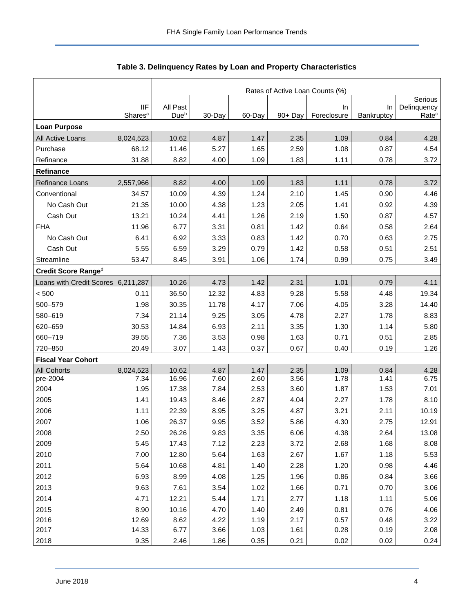<span id="page-4-0"></span>

|                           |                                   | Rates of Active Loan Counts (%) |        |        |            |                   |                  |                                  |  |  |  |
|---------------------------|-----------------------------------|---------------------------------|--------|--------|------------|-------------------|------------------|----------------------------------|--|--|--|
|                           |                                   |                                 |        |        |            |                   |                  | Serious                          |  |  |  |
|                           | <b>IIF</b><br>Shares <sup>a</sup> | All Past<br>Due <sup>b</sup>    | 30-Day | 60-Day | $90 + Day$ | In<br>Foreclosure | In<br>Bankruptcy | Delinquency<br>Rate <sup>c</sup> |  |  |  |
| <b>Loan Purpose</b>       |                                   |                                 |        |        |            |                   |                  |                                  |  |  |  |
| All Active Loans          | 8,024,523                         | 10.62                           | 4.87   | 1.47   | 2.35       | 1.09              | 0.84             | 4.28                             |  |  |  |
| Purchase                  | 68.12                             | 11.46                           | 5.27   | 1.65   | 2.59       | 1.08              | 0.87             | 4.54                             |  |  |  |
| Refinance                 | 31.88                             | 8.82                            | 4.00   | 1.09   | 1.83       | 1.11              | 0.78             | 3.72                             |  |  |  |
| Refinance                 |                                   |                                 |        |        |            |                   |                  |                                  |  |  |  |
| Refinance Loans           | 2,557,966                         | 8.82                            | 4.00   | 1.09   | 1.83       | 1.11              | 0.78             | 3.72                             |  |  |  |
| Conventional              | 34.57                             | 10.09                           | 4.39   | 1.24   | 2.10       | 1.45              | 0.90             | 4.46                             |  |  |  |
| No Cash Out               | 21.35                             | 10.00                           | 4.38   | 1.23   | 2.05       | 1.41              | 0.92             | 4.39                             |  |  |  |
| Cash Out                  | 13.21                             | 10.24                           | 4.41   | 1.26   | 2.19       | 1.50              | 0.87             | 4.57                             |  |  |  |
| <b>FHA</b>                | 11.96                             | 6.77                            | 3.31   | 0.81   | 1.42       | 0.64              | 0.58             | 2.64                             |  |  |  |
| No Cash Out               | 6.41                              | 6.92                            | 3.33   | 0.83   | 1.42       | 0.70              | 0.63             | 2.75                             |  |  |  |
| Cash Out                  | 5.55                              | 6.59                            | 3.29   | 0.79   | 1.42       | 0.58              | 0.51             | 2.51                             |  |  |  |
| Streamline                | 53.47                             | 8.45                            | 3.91   | 1.06   | 1.74       | 0.99              | 0.75             | 3.49                             |  |  |  |
| Credit Score Ranged       |                                   |                                 |        |        |            |                   |                  |                                  |  |  |  |
| Loans with Credit Scores  | 6,211,287                         | 10.26                           | 4.73   | 1.42   | 2.31       | 1.01              | 0.79             | 4.11                             |  |  |  |
| < 500                     | 0.11                              | 36.50                           | 12.32  | 4.83   | 9.28       | 5.58              | 4.48             | 19.34                            |  |  |  |
| 500-579                   | 1.98                              | 30.35                           | 11.78  | 4.17   | 7.06       | 4.05              | 3.28             | 14.40                            |  |  |  |
| 580-619                   | 7.34                              | 21.14                           | 9.25   | 3.05   | 4.78       | 2.27              | 1.78             | 8.83                             |  |  |  |
| 620-659                   | 30.53                             | 14.84                           | 6.93   | 2.11   | 3.35       | 1.30              | 1.14             | 5.80                             |  |  |  |
| 660-719                   | 39.55                             | 7.36                            | 3.53   | 0.98   | 1.63       | 0.71              | 0.51             | 2.85                             |  |  |  |
| 720-850                   | 20.49                             | 3.07                            | 1.43   | 0.37   | 0.67       | 0.40              | 0.19             | 1.26                             |  |  |  |
| <b>Fiscal Year Cohort</b> |                                   |                                 |        |        |            |                   |                  |                                  |  |  |  |
| <b>All Cohorts</b>        | 8,024,523                         | 10.62                           | 4.87   | 1.47   | 2.35       | 1.09              | 0.84             | 4.28                             |  |  |  |
| pre-2004                  | 7.34                              | 16.96                           | 7.60   | 2.60   | 3.56       | 1.78              | 1.41             | 6.75                             |  |  |  |
| 2004                      | 1.95                              | 17.38                           | 7.84   | 2.53   | 3.60       | 1.87              | 1.53             | 7.01                             |  |  |  |
| 2005                      | 1.41                              | 19.43                           | 8.46   | 2.87   | 4.04       | 2.27              | 1.78             | 8.10                             |  |  |  |
| 2006                      | 1.11                              | 22.39                           | 8.95   | 3.25   | 4.87       | 3.21              | 2.11             | 10.19                            |  |  |  |
| 2007                      | 1.06                              | 26.37                           | 9.95   | 3.52   | 5.86       | 4.30              | 2.75             | 12.91                            |  |  |  |
| 2008                      | 2.50                              | 26.26                           | 9.83   | 3.35   | 6.06       | 4.38              | 2.64             | 13.08                            |  |  |  |
| 2009                      | 5.45                              | 17.43                           | 7.12   | 2.23   | 3.72       | 2.68              | 1.68             | 8.08                             |  |  |  |
| 2010                      | 7.00                              | 12.80                           | 5.64   | 1.63   | 2.67       | 1.67              | 1.18             | 5.53                             |  |  |  |
| 2011                      | 5.64                              | 10.68                           | 4.81   | 1.40   | 2.28       | 1.20              | 0.98             | 4.46                             |  |  |  |
| 2012                      | 6.93                              | 8.99                            | 4.08   | 1.25   | 1.96       | 0.86              | 0.84             | 3.66                             |  |  |  |
| 2013                      | 9.63                              | 7.61                            | 3.54   | 1.02   | 1.66       | 0.71              | 0.70             | 3.06                             |  |  |  |
| 2014                      | 4.71                              | 12.21                           | 5.44   | 1.71   | 2.77       | 1.18              | 1.11             | 5.06                             |  |  |  |
| 2015                      | 8.90                              | 10.16                           | 4.70   | 1.40   | 2.49       | 0.81              | 0.76             | 4.06                             |  |  |  |
| 2016                      | 12.69                             | 8.62                            | 4.22   | 1.19   | 2.17       | 0.57              | 0.48             | 3.22                             |  |  |  |
| 2017                      | 14.33                             | 6.77                            | 3.66   | 1.03   | 1.61       | 0.28              | 0.19             | 2.08                             |  |  |  |
| 2018                      | 9.35                              | 2.46                            | 1.86   | 0.35   | 0.21       | 0.02              | 0.02             | 0.24                             |  |  |  |

## **Table 3. Delinquency Rates by Loan and Property Characteristics**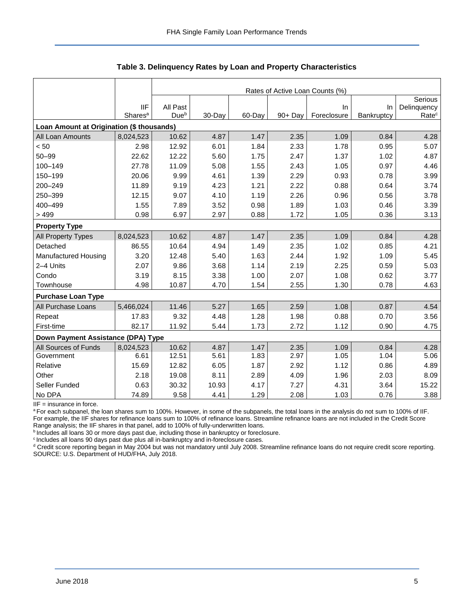|                                           |                     | Rates of Active Loan Counts (%) |        |        |         |             |            |                   |  |  |  |
|-------------------------------------------|---------------------|---------------------------------|--------|--------|---------|-------------|------------|-------------------|--|--|--|
|                                           |                     |                                 |        |        |         |             |            | Serious           |  |  |  |
|                                           | <b>IIF</b>          | All Past                        |        |        |         | In          | In         | Delinquency       |  |  |  |
|                                           | Shares <sup>a</sup> | Dueb                            | 30-Day | 60-Day | 90+ Day | Foreclosure | Bankruptcy | Rate <sup>c</sup> |  |  |  |
| Loan Amount at Origination (\$ thousands) |                     |                                 |        |        |         |             |            |                   |  |  |  |
| All Loan Amounts                          | 8,024,523           | 10.62                           | 4.87   | 1.47   | 2.35    | 1.09        | 0.84       | 4.28              |  |  |  |
| < 50                                      | 2.98                | 12.92                           | 6.01   | 1.84   | 2.33    | 1.78        | 0.95       | 5.07              |  |  |  |
| $50 - 99$                                 | 22.62               | 12.22                           | 5.60   | 1.75   | 2.47    | 1.37        | 1.02       | 4.87              |  |  |  |
| 100-149                                   | 27.78               | 11.09                           | 5.08   | 1.55   | 2.43    | 1.05        | 0.97       | 4.46              |  |  |  |
| 150-199                                   | 20.06               | 9.99                            | 4.61   | 1.39   | 2.29    | 0.93        | 0.78       | 3.99              |  |  |  |
| 200-249                                   | 11.89               | 9.19                            | 4.23   | 1.21   | 2.22    | 0.88        | 0.64       | 3.74              |  |  |  |
| 250-399                                   | 12.15               | 9.07                            | 4.10   | 1.19   | 2.26    | 0.96        | 0.56       | 3.78              |  |  |  |
| 400-499                                   | 1.55                | 7.89                            | 3.52   | 0.98   | 1.89    | 1.03        | 0.46       | 3.39              |  |  |  |
| >499                                      | 0.98                | 6.97                            | 2.97   | 0.88   | 1.72    | 1.05        | 0.36       | 3.13              |  |  |  |
| <b>Property Type</b>                      |                     |                                 |        |        |         |             |            |                   |  |  |  |
| All Property Types                        | 8,024,523           | 10.62                           | 4.87   | 1.47   | 2.35    | 1.09        | 0.84       | 4.28              |  |  |  |
| Detached                                  | 86.55               | 10.64                           | 4.94   | 1.49   | 2.35    | 1.02        | 0.85       | 4.21              |  |  |  |
| Manufactured Housing                      | 3.20                | 12.48                           | 5.40   | 1.63   | 2.44    | 1.92        | 1.09       | 5.45              |  |  |  |
| 2-4 Units                                 | 2.07                | 9.86                            | 3.68   | 1.14   | 2.19    | 2.25        | 0.59       | 5.03              |  |  |  |
| Condo                                     | 3.19                | 8.15                            | 3.38   | 1.00   | 2.07    | 1.08        | 0.62       | 3.77              |  |  |  |
| Townhouse                                 | 4.98                | 10.87                           | 4.70   | 1.54   | 2.55    | 1.30        | 0.78       | 4.63              |  |  |  |
| <b>Purchase Loan Type</b>                 |                     |                                 |        |        |         |             |            |                   |  |  |  |
| All Purchase Loans                        | 5,466,024           | 11.46                           | 5.27   | 1.65   | 2.59    | 1.08        | 0.87       | 4.54              |  |  |  |
| Repeat                                    | 17.83               | 9.32                            | 4.48   | 1.28   | 1.98    | 0.88        | 0.70       | 3.56              |  |  |  |
| First-time                                | 82.17               | 11.92                           | 5.44   | 1.73   | 2.72    | 1.12        | 0.90       | 4.75              |  |  |  |
| Down Payment Assistance (DPA) Type        |                     |                                 |        |        |         |             |            |                   |  |  |  |
| All Sources of Funds                      | 8,024,523           | 10.62                           | 4.87   | 1.47   | 2.35    | 1.09        | 0.84       | 4.28              |  |  |  |
| Government                                | 6.61                | 12.51                           | 5.61   | 1.83   | 2.97    | 1.05        | 1.04       | 5.06              |  |  |  |
| Relative                                  | 15.69               | 12.82                           | 6.05   | 1.87   | 2.92    | 1.12        | 0.86       | 4.89              |  |  |  |
| Other                                     | 2.18                | 19.08                           | 8.11   | 2.89   | 4.09    | 1.96        | 2.03       | 8.09              |  |  |  |
| Seller Funded                             | 0.63                | 30.32                           | 10.93  | 4.17   | 7.27    | 4.31        | 3.64       | 15.22             |  |  |  |
| No DPA                                    | 74.89               | 9.58                            | 4.41   | 1.29   | 2.08    | 1.03        | 0.76       | 3.88              |  |  |  |

**Table 3. Delinquency Rates by Loan and Property Characteristics**

 $IIF =$  insurance in force.

a For each subpanel, the loan shares sum to 100%. However, in some of the subpanels, the total loans in the analysis do not sum to 100% of IIF. For example, the IIF shares for refinance loans sum to 100% of refinance loans. Streamline refinance loans are not included in the Credit Score Range analysis; the IIF shares in that panel, add to 100% of fully-underwritten loans.

 $b$  Includes all loans 30 or more days past due, including those in bankruptcy or foreclosure.

 $c$  Includes all loans 90 days past due plus all in-bankruptcy and in-foreclosure cases.

<sup>d</sup> Credit score reporting began in May 2004 but was not mandatory until July 2008. Streamline refinance loans do not require credit score reporting. SOURCE: U.S. Department of HUD/FHA, July 2018.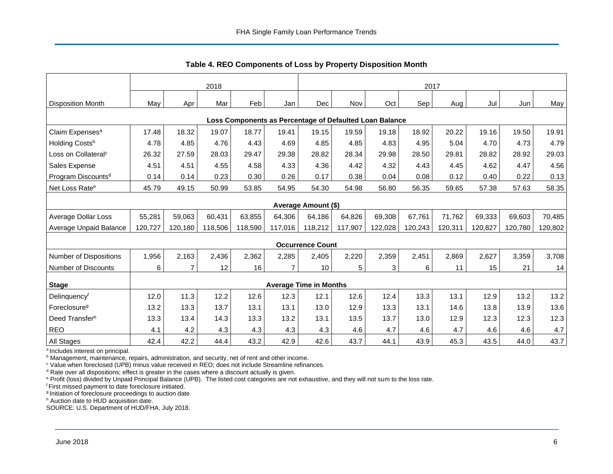<span id="page-6-0"></span>

|                                 | 2018    |                |         |         | 2017           |                               |         |                                                         |         |         |         |         |         |
|---------------------------------|---------|----------------|---------|---------|----------------|-------------------------------|---------|---------------------------------------------------------|---------|---------|---------|---------|---------|
| <b>Disposition Month</b>        | May     | Apr            | Mar     | Feb     | Jan            | Dec                           | Nov     | Oct                                                     | Sep     | Aug     | Jul     | Jun     | May     |
|                                 |         |                |         |         |                |                               |         | Loss Components as Percentage of Defaulted Loan Balance |         |         |         |         |         |
| Claim Expenses <sup>a</sup>     | 17.48   | 18.32          | 19.07   | 18.77   | 19.41          | 19.15                         | 19.59   | 19.18                                                   | 18.92   | 20.22   | 19.16   | 19.50   | 19.91   |
| Holding Costsb                  | 4.78    | 4.85           | 4.76    | 4.43    | 4.69           | 4.85                          | 4.85    | 4.83                                                    | 4.95    | 5.04    | 4.70    | 4.73    | 4.79    |
| Loss on Collateral <sup>c</sup> | 26.32   | 27.59          | 28.03   | 29.47   | 29.38          | 28.82                         | 28.34   | 29.98                                                   | 28.50   | 29.81   | 28.82   | 28.92   | 29.03   |
| Sales Expense                   | 4.51    | 4.51           | 4.55    | 4.58    | 4.33           | 4.36                          | 4.42    | 4.32                                                    | 4.43    | 4.45    | 4.62    | 4.47    | 4.56    |
| Program Discounts <sup>d</sup>  | 0.14    | 0.14           | 0.23    | 0.30    | 0.26           | 0.17                          | 0.38    | 0.04                                                    | 0.08    | 0.12    | 0.40    | 0.22    | 0.13    |
| Net Loss Rate <sup>e</sup>      | 45.79   | 49.15          | 50.99   | 53.85   | 54.95          | 54.30                         | 54.98   | 56.80                                                   | 56.35   | 59.65   | 57.38   | 57.63   | 58.35   |
|                                 |         |                |         |         |                | <b>Average Amount (\$)</b>    |         |                                                         |         |         |         |         |         |
| <b>Average Dollar Loss</b>      | 55,281  | 59,063         | 60,431  | 63,855  | 64,306         | 64,186                        | 64,826  | 69,308                                                  | 67,761  | 71,762  | 69,333  | 69,603  | 70,485  |
| Average Unpaid Balance          | 120,727 | 120,180        | 118,506 | 118,590 | 117,016        | 118,212                       | 117,907 | 122,028                                                 | 120,243 | 120,311 | 120,827 | 120,780 | 120,802 |
|                                 |         |                |         |         |                | <b>Occurrence Count</b>       |         |                                                         |         |         |         |         |         |
| <b>Number of Dispositions</b>   | 1,956   | 2,163          | 2,436   | 2,362   | 2,285          | 2,405                         | 2,220   | 2,359                                                   | 2,451   | 2,869   | 2,627   | 3,359   | 3,708   |
| Number of Discounts             | 6       | $\overline{7}$ | 12      | 16      | $\overline{7}$ | 10                            | 5       | 3                                                       | 6       | 11      | 15      | 21      | 14      |
| <b>Stage</b>                    |         |                |         |         |                | <b>Average Time in Months</b> |         |                                                         |         |         |         |         |         |
| Delinquencyf                    | 12.0    | 11.3           | 12.2    | 12.6    | 12.3           | 12.1                          | 12.6    | 12.4                                                    | 13.3    | 13.1    | 12.9    | 13.2    | 13.2    |
| Foreclosure <sup>g</sup>        | 13.2    | 13.3           | 13.7    | 13.1    | 13.1           | 13.0                          | 12.9    | 13.3                                                    | 13.1    | 14.6    | 13.8    | 13.9    | 13.6    |
| Deed Transfer <sup>h</sup>      | 13.3    | 13.4           | 14.3    | 13.3    | 13.2           | 13.1                          | 13.5    | 13.7                                                    | 13.0    | 12.9    | 12.3    | 12.3    | 12.3    |
| <b>REO</b>                      | 4.1     | 4.2            | 4.3     | 4.3     | 4.3            | 4.3                           | 4.6     | 4.7                                                     | 4.6     | 4.7     | 4.6     | 4.6     | 4.7     |
| <b>All Stages</b>               | 42.4    | 42.2           | 44.4    | 43.2    | 42.9           | 42.6                          | 43.7    | 44.1                                                    | 43.9    | 45.3    | 43.5    | 44.0    | 43.7    |

**Table 4. REO Components of Loss by Property Disposition Month**

<sup>a</sup> Includes interest on principal.

**b Management, maintenance, repairs, administration, and security, net of rent and other income.** 

<sup>c</sup> Value when foreclosed (UPB) minus value received in REO; does not include Streamline refinances.

 $d$  Rate over all dispositions; effect is greater in the cases where a discount actually is given.

<sup>e</sup> Profit (loss) divided by Unpaid Principal Balance (UPB). The listed cost categories are not exhaustive, and they will not sum to the loss rate.

<sup>f</sup> First missed payment to date foreclosure initiated.

<sup>g</sup> Initiation of foreclosure proceedings to auction date.

h Auction date to HUD acquisition date.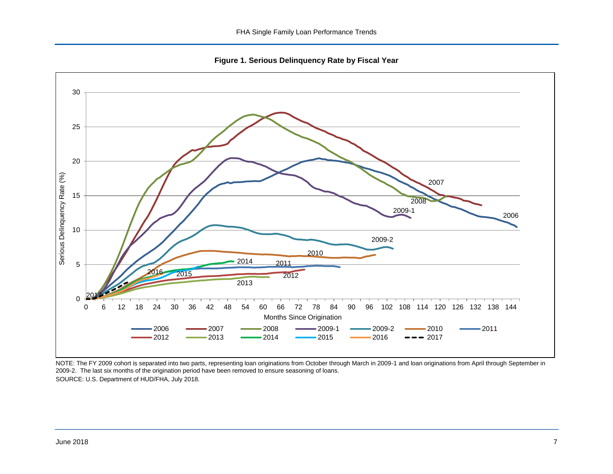**Figure 1. Serious Delinquency Rate by Fiscal Year**

<span id="page-7-0"></span>

NOTE: The FY 2009 cohort is separated into two parts, representing loan originations from October through March in 2009-1 and loan originations from April through September in 2009-2. The last six months of the origination period have been removed to ensure seasoning of loans. SOURCE: U.S. Department of HUD/FHA, July 2018.